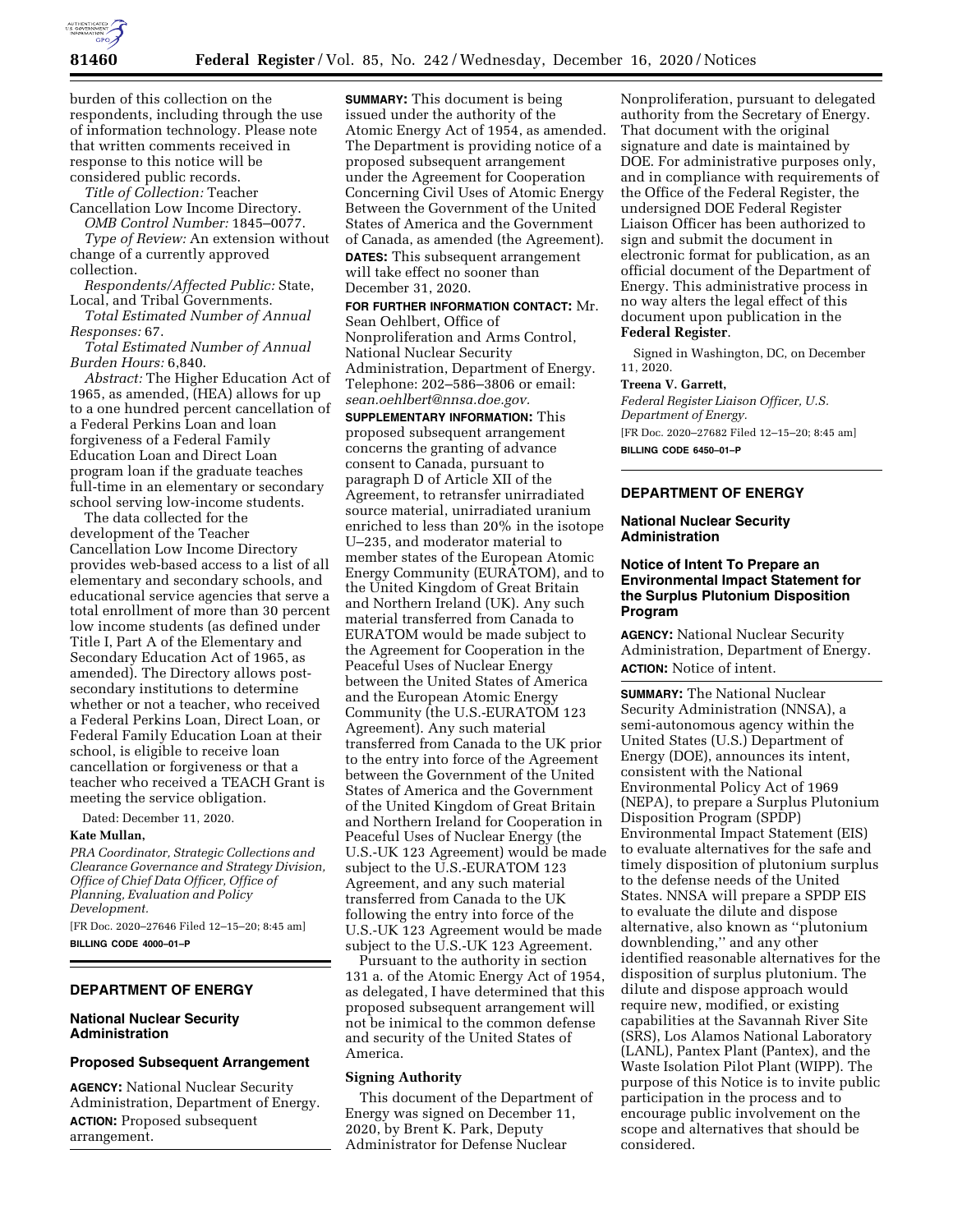

burden of this collection on the respondents, including through the use of information technology. Please note that written comments received in response to this notice will be considered public records.

*Title of Collection:* Teacher Cancellation Low Income Directory.

*OMB Control Number:* 1845–0077. *Type of Review:* An extension without change of a currently approved collection.

*Respondents/Affected Public:* State, Local, and Tribal Governments.

*Total Estimated Number of Annual Responses:* 67.

*Total Estimated Number of Annual Burden Hours:* 6,840.

*Abstract:* The Higher Education Act of 1965, as amended, (HEA) allows for up to a one hundred percent cancellation of a Federal Perkins Loan and loan forgiveness of a Federal Family Education Loan and Direct Loan program loan if the graduate teaches full-time in an elementary or secondary school serving low-income students.

The data collected for the development of the Teacher Cancellation Low Income Directory provides web-based access to a list of all elementary and secondary schools, and educational service agencies that serve a total enrollment of more than 30 percent low income students (as defined under Title I, Part A of the Elementary and Secondary Education Act of 1965, as amended). The Directory allows postsecondary institutions to determine whether or not a teacher, who received a Federal Perkins Loan, Direct Loan, or Federal Family Education Loan at their school, is eligible to receive loan cancellation or forgiveness or that a teacher who received a TEACH Grant is meeting the service obligation.

Dated: December 11, 2020.

# **Kate Mullan,**

*PRA Coordinator, Strategic Collections and Clearance Governance and Strategy Division, Office of Chief Data Officer, Office of Planning, Evaluation and Policy Development.*  [FR Doc. 2020–27646 Filed 12–15–20; 8:45 am]

**BILLING CODE 4000–01–P** 

# **DEPARTMENT OF ENERGY**

# **National Nuclear Security Administration**

### **Proposed Subsequent Arrangement**

**AGENCY:** National Nuclear Security Administration, Department of Energy. **ACTION:** Proposed subsequent arrangement.

**SUMMARY:** This document is being issued under the authority of the Atomic Energy Act of 1954, as amended. The Department is providing notice of a proposed subsequent arrangement under the Agreement for Cooperation Concerning Civil Uses of Atomic Energy Between the Government of the United States of America and the Government of Canada, as amended (the Agreement).

**DATES:** This subsequent arrangement will take effect no sooner than December 31, 2020.

### **FOR FURTHER INFORMATION CONTACT:** Mr. Sean Oehlbert, Office of

Nonproliferation and Arms Control, National Nuclear Security Administration, Department of Energy. Telephone: 202–586–3806 or email: *[sean.oehlbert@nnsa.doe.gov.](mailto:sean.oehlbert@nnsa.doe.gov)* 

**SUPPLEMENTARY INFORMATION:** This proposed subsequent arrangement concerns the granting of advance consent to Canada, pursuant to paragraph D of Article XII of the Agreement, to retransfer unirradiated source material, unirradiated uranium enriched to less than 20% in the isotope U–235, and moderator material to member states of the European Atomic Energy Community (EURATOM), and to the United Kingdom of Great Britain and Northern Ireland (UK). Any such material transferred from Canada to EURATOM would be made subject to the Agreement for Cooperation in the Peaceful Uses of Nuclear Energy between the United States of America and the European Atomic Energy Community (the U.S.-EURATOM 123 Agreement). Any such material transferred from Canada to the UK prior to the entry into force of the Agreement between the Government of the United States of America and the Government of the United Kingdom of Great Britain and Northern Ireland for Cooperation in Peaceful Uses of Nuclear Energy (the U.S.-UK 123 Agreement) would be made subject to the U.S.-EURATOM 123 Agreement, and any such material transferred from Canada to the UK following the entry into force of the U.S.-UK 123 Agreement would be made subject to the  $\overline{U}.S.-UK$  123 Agreement.

Pursuant to the authority in section 131 a. of the Atomic Energy Act of 1954, as delegated, I have determined that this proposed subsequent arrangement will not be inimical to the common defense and security of the United States of America.

### **Signing Authority**

This document of the Department of Energy was signed on December 11, 2020, by Brent K. Park, Deputy Administrator for Defense Nuclear

Nonproliferation, pursuant to delegated authority from the Secretary of Energy. That document with the original signature and date is maintained by DOE. For administrative purposes only, and in compliance with requirements of the Office of the Federal Register, the undersigned DOE Federal Register Liaison Officer has been authorized to sign and submit the document in electronic format for publication, as an official document of the Department of Energy. This administrative process in no way alters the legal effect of this document upon publication in the **Federal Register**.

Signed in Washington, DC, on December 11, 2020.

### **Treena V. Garrett,**

*Federal Register Liaison Officer, U.S. Department of Energy.*  [FR Doc. 2020–27682 Filed 12–15–20; 8:45 am] **BILLING CODE 6450–01–P** 

#### **DEPARTMENT OF ENERGY**

### **National Nuclear Security Administration**

# **Notice of Intent To Prepare an Environmental Impact Statement for the Surplus Plutonium Disposition Program**

**AGENCY:** National Nuclear Security Administration, Department of Energy. **ACTION:** Notice of intent.

**SUMMARY:** The National Nuclear Security Administration (NNSA), a semi-autonomous agency within the United States (U.S.) Department of Energy (DOE), announces its intent, consistent with the National Environmental Policy Act of 1969 (NEPA), to prepare a Surplus Plutonium Disposition Program (SPDP) Environmental Impact Statement (EIS) to evaluate alternatives for the safe and timely disposition of plutonium surplus to the defense needs of the United States. NNSA will prepare a SPDP EIS to evaluate the dilute and dispose alternative, also known as ''plutonium downblending,'' and any other identified reasonable alternatives for the disposition of surplus plutonium. The dilute and dispose approach would require new, modified, or existing capabilities at the Savannah River Site (SRS), Los Alamos National Laboratory (LANL), Pantex Plant (Pantex), and the Waste Isolation Pilot Plant (WIPP). The purpose of this Notice is to invite public participation in the process and to encourage public involvement on the scope and alternatives that should be considered.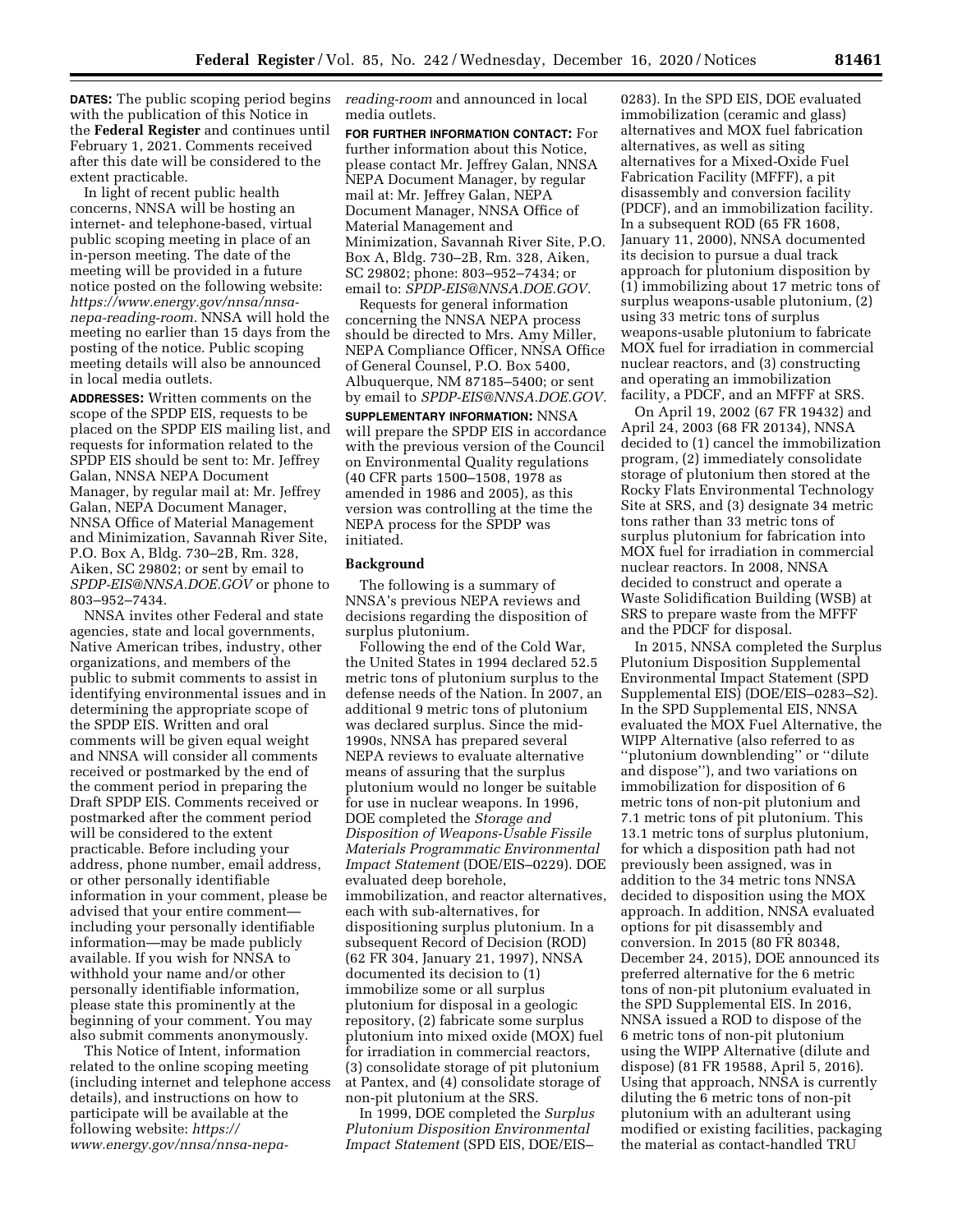**DATES:** The public scoping period begins with the publication of this Notice in the **Federal Register** and continues until February 1, 2021. Comments received after this date will be considered to the extent practicable.

In light of recent public health concerns, NNSA will be hosting an internet- and telephone-based, virtual public scoping meeting in place of an in-person meeting. The date of the meeting will be provided in a future notice posted on the following website: *[https://www.energy.gov/nnsa/nnsa](https://www.energy.gov/nnsa/nnsa-nepa-reading-room)[nepa-reading-room.](https://www.energy.gov/nnsa/nnsa-nepa-reading-room)* NNSA will hold the meeting no earlier than 15 days from the posting of the notice. Public scoping meeting details will also be announced in local media outlets.

**ADDRESSES:** Written comments on the scope of the SPDP EIS, requests to be placed on the SPDP EIS mailing list, and requests for information related to the SPDP EIS should be sent to: Mr. Jeffrey Galan, NNSA NEPA Document Manager, by regular mail at: Mr. Jeffrey Galan, NEPA Document Manager, NNSA Office of Material Management and Minimization, Savannah River Site, P.O. Box A, Bldg. 730–2B, Rm. 328, Aiken, SC 29802; or sent by email to *[SPDP-EIS@NNSA.DOE.GOV](mailto:SPDP-EIS@NNSA.DOE.GOV)* or phone to 803–952–7434.

NNSA invites other Federal and state agencies, state and local governments, Native American tribes, industry, other organizations, and members of the public to submit comments to assist in identifying environmental issues and in determining the appropriate scope of the SPDP EIS. Written and oral comments will be given equal weight and NNSA will consider all comments received or postmarked by the end of the comment period in preparing the Draft SPDP EIS. Comments received or postmarked after the comment period will be considered to the extent practicable. Before including your address, phone number, email address, or other personally identifiable information in your comment, please be advised that your entire comment including your personally identifiable information—may be made publicly available. If you wish for NNSA to withhold your name and/or other personally identifiable information, please state this prominently at the beginning of your comment. You may also submit comments anonymously.

This Notice of Intent, information related to the online scoping meeting (including internet and telephone access details), and instructions on how to participate will be available at the following website: *[https://](https://www.energy.gov/nnsa/nnsa-nepa-reading-room) [www.energy.gov/nnsa/nnsa-nepa-](https://www.energy.gov/nnsa/nnsa-nepa-reading-room)* *[reading-room](https://www.energy.gov/nnsa/nnsa-nepa-reading-room)* and announced in local media outlets.

**FOR FURTHER INFORMATION CONTACT:** For further information about this Notice, please contact Mr. Jeffrey Galan, NNSA NEPA Document Manager, by regular mail at: Mr. Jeffrey Galan, NEPA Document Manager, NNSA Office of Material Management and Minimization, Savannah River Site, P.O. Box A, Bldg. 730–2B, Rm. 328, Aiken, SC 29802; phone: 803–952–7434; or email to: *[SPDP-EIS@NNSA.DOE.GOV.](mailto:SPDP-EIS@NNSA.DOE.GOV)* 

Requests for general information concerning the NNSA NEPA process should be directed to Mrs. Amy Miller, NEPA Compliance Officer, NNSA Office of General Counsel, P.O. Box 5400, Albuquerque, NM 87185–5400; or sent by email to *[SPDP-EIS@NNSA.DOE.GOV.](mailto:SPDP-EIS@NNSA.DOE.GOV)* 

**SUPPLEMENTARY INFORMATION:** NNSA will prepare the SPDP EIS in accordance with the previous version of the Council on Environmental Quality regulations (40 CFR parts 1500–1508, 1978 as amended in 1986 and 2005), as this version was controlling at the time the NEPA process for the SPDP was initiated.

### **Background**

The following is a summary of NNSA's previous NEPA reviews and decisions regarding the disposition of surplus plutonium.

Following the end of the Cold War, the United States in 1994 declared 52.5 metric tons of plutonium surplus to the defense needs of the Nation. In 2007, an additional 9 metric tons of plutonium was declared surplus. Since the mid-1990s, NNSA has prepared several NEPA reviews to evaluate alternative means of assuring that the surplus plutonium would no longer be suitable for use in nuclear weapons. In 1996, DOE completed the *Storage and Disposition of Weapons-Usable Fissile Materials Programmatic Environmental Impact Statement* (DOE/EIS–0229). DOE evaluated deep borehole, immobilization, and reactor alternatives, each with sub-alternatives, for dispositioning surplus plutonium. In a subsequent Record of Decision (ROD) (62 FR 304, January 21, 1997), NNSA documented its decision to (1) immobilize some or all surplus plutonium for disposal in a geologic repository, (2) fabricate some surplus plutonium into mixed oxide (MOX) fuel for irradiation in commercial reactors, (3) consolidate storage of pit plutonium at Pantex, and (4) consolidate storage of non-pit plutonium at the SRS.

In 1999, DOE completed the *Surplus Plutonium Disposition Environmental Impact Statement* (SPD EIS, DOE/EIS–

0283). In the SPD EIS, DOE evaluated immobilization (ceramic and glass) alternatives and MOX fuel fabrication alternatives, as well as siting alternatives for a Mixed-Oxide Fuel Fabrication Facility (MFFF), a pit disassembly and conversion facility (PDCF), and an immobilization facility. In a subsequent ROD (65 FR 1608, January 11, 2000), NNSA documented its decision to pursue a dual track approach for plutonium disposition by (1) immobilizing about 17 metric tons of surplus weapons-usable plutonium, (2) using 33 metric tons of surplus weapons-usable plutonium to fabricate MOX fuel for irradiation in commercial nuclear reactors, and (3) constructing and operating an immobilization facility, a PDCF, and an MFFF at SRS.

On April 19, 2002 (67 FR 19432) and April 24, 2003 (68 FR 20134), NNSA decided to (1) cancel the immobilization program, (2) immediately consolidate storage of plutonium then stored at the Rocky Flats Environmental Technology Site at SRS, and (3) designate 34 metric tons rather than 33 metric tons of surplus plutonium for fabrication into MOX fuel for irradiation in commercial nuclear reactors. In 2008, NNSA decided to construct and operate a Waste Solidification Building (WSB) at SRS to prepare waste from the MFFF and the PDCF for disposal.

In 2015, NNSA completed the Surplus Plutonium Disposition Supplemental Environmental Impact Statement (SPD Supplemental EIS) (DOE/EIS–0283–S2). In the SPD Supplemental EIS, NNSA evaluated the MOX Fuel Alternative, the WIPP Alternative (also referred to as ''plutonium downblending'' or ''dilute and dispose''), and two variations on immobilization for disposition of 6 metric tons of non-pit plutonium and 7.1 metric tons of pit plutonium. This 13.1 metric tons of surplus plutonium, for which a disposition path had not previously been assigned, was in addition to the 34 metric tons NNSA decided to disposition using the MOX approach. In addition, NNSA evaluated options for pit disassembly and conversion. In 2015 (80 FR 80348, December 24, 2015), DOE announced its preferred alternative for the 6 metric tons of non-pit plutonium evaluated in the SPD Supplemental EIS. In 2016, NNSA issued a ROD to dispose of the 6 metric tons of non-pit plutonium using the WIPP Alternative (dilute and dispose) (81 FR 19588, April 5, 2016). Using that approach, NNSA is currently diluting the 6 metric tons of non-pit plutonium with an adulterant using modified or existing facilities, packaging the material as contact-handled TRU